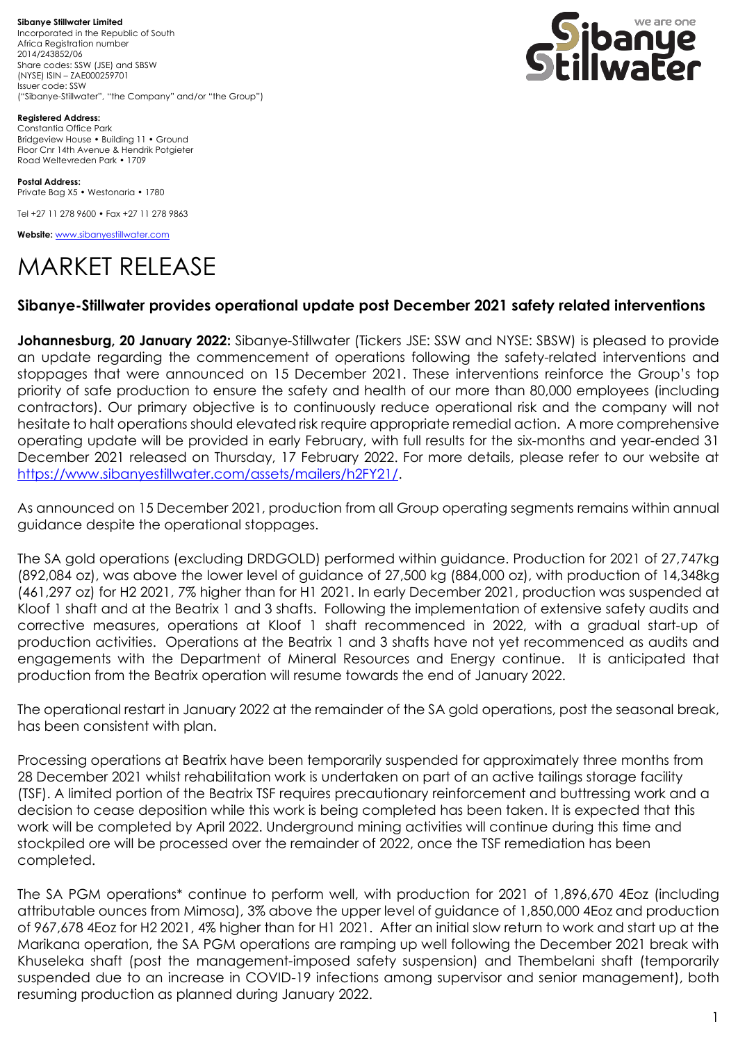**Sibanye Stillwater Limited** Incorporated in the Republic of South Africa Registration number 2014/243852/06 Share codes: SSW (JSE) and SBSW (NYSE) ISIN – ZAE000259701 Issuer code: SSW ("Sibanye-Stillwater", "the Company" and/or "the Group")



**Registered Address:** Constantia Office Park Bridgeview House • Building 11 • Ground Floor Cnr 14th Avenue & Hendrik Potgieter Road Weltevreden Park • 1709

**Postal Address:** Private Bag X5 • Westonaria • 1780

Tel +27 11 278 9600 • Fax +27 11 278 9863

**Website:** [www.sibanyestillwater.com](http://www.sibanyestillwater.com/)

## MARKET RELEASE

## **Sibanye-Stillwater provides operational update post December 2021 safety related interventions**

**Johannesburg, 20 January 2022:** Sibanye-Stillwater (Tickers JSE: SSW and NYSE: SBSW) is pleased to provide an update regarding the commencement of operations following the safety-related interventions and stoppages that were announced on 15 December 2021. These interventions reinforce the Group's top priority of safe production to ensure the safety and health of our more than 80,000 employees (including contractors). Our primary objective is to continuously reduce operational risk and the company will not hesitate to halt operations should elevated risk require appropriate remedial action. A more comprehensive operating update will be provided in early February, with full results for the six-months and year-ended 31 December 2021 released on Thursday, 17 February 2022. For more details, please refer to our website at [https://www.sibanyestillwater.com/assets/mailers/h2FY21/.](https://www.sibanyestillwater.com/assets/mailers/h2FY21/)

As announced on 15 December 2021, production from all Group operating segments remains within annual guidance despite the operational stoppages.

The SA gold operations (excluding DRDGOLD) performed within guidance. Production for 2021 of 27,747kg (892,084 oz), was above the lower level of guidance of 27,500 kg (884,000 oz), with production of 14,348kg (461,297 oz) for H2 2021, 7% higher than for H1 2021. In early December 2021, production was suspended at Kloof 1 shaft and at the Beatrix 1 and 3 shafts. Following the implementation of extensive safety audits and corrective measures, operations at Kloof 1 shaft recommenced in 2022, with a gradual start-up of production activities. Operations at the Beatrix 1 and 3 shafts have not yet recommenced as audits and engagements with the Department of Mineral Resources and Energy continue. It is anticipated that production from the Beatrix operation will resume towards the end of January 2022.

The operational restart in January 2022 at the remainder of the SA gold operations, post the seasonal break, has been consistent with plan.

Processing operations at Beatrix have been temporarily suspended for approximately three months from 28 December 2021 whilst rehabilitation work is undertaken on part of an active tailings storage facility (TSF). A limited portion of the Beatrix TSF requires precautionary reinforcement and buttressing work and a decision to cease deposition while this work is being completed has been taken. It is expected that this work will be completed by April 2022. Underground mining activities will continue during this time and stockpiled ore will be processed over the remainder of 2022, once the TSF remediation has been completed.

The SA PGM operations\* continue to perform well, with production for 2021 of 1,896,670 4Eoz (including attributable ounces from Mimosa), 3% above the upper level of guidance of 1,850,000 4Eoz and production of 967,678 4Eoz for H2 2021, 4% higher than for H1 2021. After an initial slow return to work and start up at the Marikana operation, the SA PGM operations are ramping up well following the December 2021 break with Khuseleka shaft (post the management-imposed safety suspension) and Thembelani shaft (temporarily suspended due to an increase in COVID-19 infections among supervisor and senior management), both resuming production as planned during January 2022.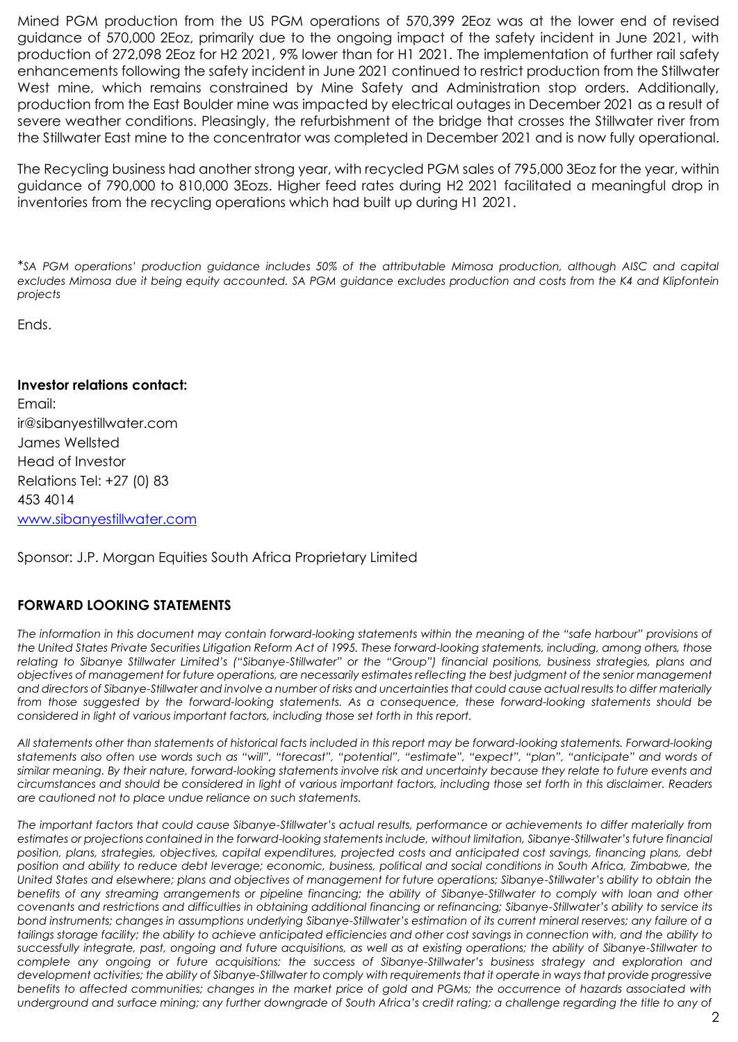Mined PGM production from the US PGM operations of 570,399 2Eoz was at the lower end of revised guidance of 570,000 2Eoz, primarily due to the ongoing impact of the safety incident in June 2021, with production of 272,098 2Eoz for H2 2021, 9% lower than for H1 2021. The implementation of further rail safety enhancements following the safety incident in June 2021 continued to restrict production from the Stillwater West mine, which remains constrained by Mine Safety and Administration stop orders. Additionally, production from the East Boulder mine was impacted by electrical outages in December 2021 as a result of severe weather conditions. Pleasingly, the refurbishment of the bridge that crosses the Stillwater river from the Stillwater East mine to the concentrator was completed in December 2021 and is now fully operational.

The Recycling business had another strong year, with recycled PGM sales of 795,000 3Eoz for the year, within guidance of 790,000 to 810,000 3Eozs. Higher feed rates during H2 2021 facilitated a meaningful drop in inventories from the recycling operations which had built up during H1 2021.

*\*SA PGM operations' production guidance includes 50% of the attributable Mimosa production, although AISC and capital excludes Mimosa due it being equity accounted. SA PGM guidance excludes production and costs from the K4 and Klipfontein projects*

Ends.

## **Investor relations contact:**

Email: [ir@sibanyestillwater.com](mailto:ir@sibanyestillwater.com) James Wellsted Head of Investor Relations Tel: +27 (0) 83 453 4014 [www.sibanyestillwater.com](http://www.sibanyestillwater.com/)

Sponsor: J.P. Morgan Equities South Africa Proprietary Limited

## **FORWARD LOOKING STATEMENTS**

*The information in this document may contain forward-looking statements within the meaning of the "safe harbour" provisions of the United States Private Securities Litigation Reform Act of 1995. These forward-looking statements, including, among others, those relating to Sibanye Stillwater Limited's ("Sibanye-Stillwater" or the "Group") financial positions, business strategies, plans and objectives of management for future operations, are necessarily estimates reflecting the best judgment of the senior management and directors of Sibanye-Stillwater and involve a number of risks and uncertainties that could cause actual results to differ materially from those suggested by the forward-looking statements. As a consequence, these forward-looking statements should be considered in light of various important factors, including those set forth in this report.* 

*All statements other than statements of historical facts included in this report may be forward-looking statements. Forward-looking statements also often use words such as "will", "forecast", "potential", "estimate", "expect", "plan", "anticipate" and words of similar meaning. By their nature, forward-looking statements involve risk and uncertainty because they relate to future events and circumstances and should be considered in light of various important factors, including those set forth in this disclaimer. Readers are cautioned not to place undue reliance on such statements.* 

*The important factors that could cause Sibanye-Stillwater's actual results, performance or achievements to differ materially from estimates or projections contained in the forward-looking statements include, without limitation, Sibanye-Stillwater's future financial position, plans, strategies, objectives, capital expenditures, projected costs and anticipated cost savings, financing plans, debt position and ability to reduce debt leverage; economic, business, political and social conditions in South Africa, Zimbabwe, the United States and elsewhere; plans and objectives of management for future operations; Sibanye-Stillwater's ability to obtain the benefits of any streaming arrangements or pipeline financing; the ability of Sibanye-Stillwater to comply with loan and other covenants and restrictions and difficulties in obtaining additional financing or refinancing; Sibanye-Stillwater's ability to service its bond instruments; changes in assumptions underlying Sibanye-Stillwater's estimation of its current mineral reserves; any failure of a tailings storage facility; the ability to achieve anticipated efficiencies and other cost savings in connection with, and the ability to successfully integrate, past, ongoing and future acquisitions, as well as at existing operations; the ability of Sibanye-Stillwater to complete any ongoing or future acquisitions; the success of Sibanye-Stillwater's business strategy and exploration and development activities; the ability of Sibanye-Stillwater to comply with requirements that it operate in ways that provide progressive benefits to affected communities; changes in the market price of gold and PGMs; the occurrence of hazards associated with underground and surface mining; any further downgrade of South Africa's credit rating; a challenge regarding the title to any of*